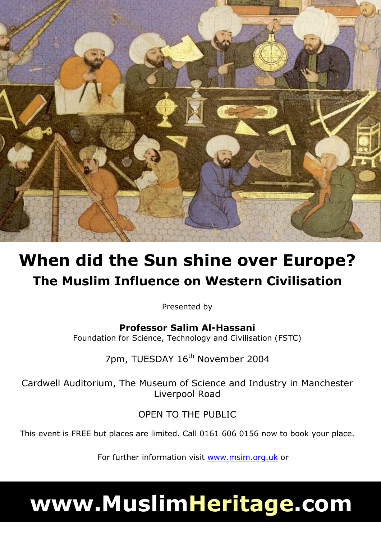

## **When did the Sun shine over Europe? The Muslim Influence on Western Civilisation**

Presented by

**Professor Salim Al-Hassani**  Foundation for Science, Technology and Civilisation (FSTC)

7pm, TUESDAY 16<sup>th</sup> November 2004

Cardwell Auditorium, The Museum of Science and Industry in Manchester Liverpool Road

OPEN TO THE PUBLIC

This event is FREE but places are limited. Call 0161 606 0156 now to book your place.

For further information visit www.msim.org.uk or

# **www.MuslimHeritage.com**